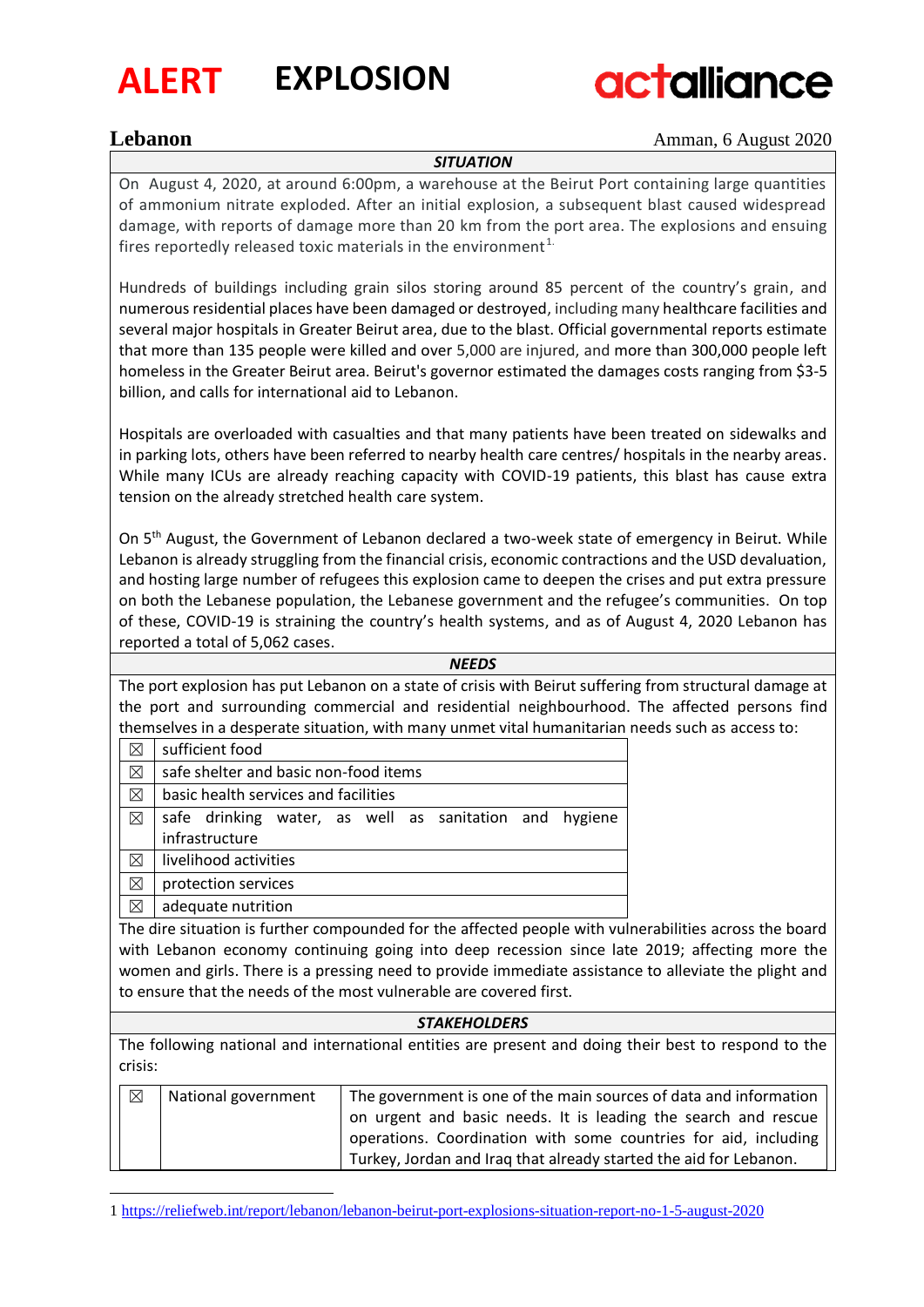

## **ALERT EXPLOSION**



**Lebanon** Amman, 6 August 2020

*SITUATION*

On August 4, 2020, at around 6:00pm, a warehouse at the Beirut Port containing large quantities of ammonium nitrate exploded. After an initial explosion, a subsequent blast caused widespread damage, with reports of damage more than 20 km from the port area. The explosions and ensuing fires reportedly released toxic materials in the environment $1$ .

Hundreds of buildings including grain silos storing around 85 percent of the country's grain, and numerous residential places have been damaged or destroyed, including many healthcare facilities and several major hospitals in Greater Beirut area, due to the blast. Official governmental reports estimate that more than 135 people were killed and over 5,000 are injured, and more than 300,000 people left homeless in the Greater Beirut area. Beirut's governor estimated the damages costs ranging from \$3-5 billion, and calls for international aid to Lebanon.

Hospitals are overloaded with casualties and that many patients have been treated on sidewalks and in parking lots, others have been referred to nearby health care centres/ hospitals in the nearby areas. While many ICUs are already reaching capacity with COVID-19 patients, this blast has cause extra tension on the already stretched health care system.

On 5<sup>th</sup> August, the Government of Lebanon declared a two-week state of emergency in Beirut. While Lebanon is already struggling from the financial crisis, economic contractions and the USD devaluation, and hosting large number of refugees this explosion came to deepen the crises and put extra pressure on both the Lebanese population, the Lebanese government and the refugee's communities. On top of these, COVID-19 is straining the country's health systems, and as of August 4, 2020 Lebanon has reported a total of 5,062 cases.

*NEEDS*

The port explosion has put Lebanon on a state of crisis with Beirut suffering from structural damage at the port and surrounding commercial and residential neighbourhood. The affected persons find themselves in a desperate situation, with many unmet vital humanitarian needs such as access to:

|                    | sufficient food                                        |  |  |  |
|--------------------|--------------------------------------------------------|--|--|--|
| ⊠                  | safe shelter and basic non-food items                  |  |  |  |
| ⊠                  | basic health services and facilities                   |  |  |  |
| ⊠                  | safe drinking water, as well as sanitation and hygiene |  |  |  |
|                    | infrastructure                                         |  |  |  |
|                    | livelihood activities                                  |  |  |  |
| ⊠                  | protection services                                    |  |  |  |
| adequate nutrition |                                                        |  |  |  |

The dire situation is further compounded for the affected people with vulnerabilities across the board with Lebanon economy continuing going into deep recession since late 2019; affecting more the women and girls. There is a pressing need to provide immediate assistance to alleviate the plight and to ensure that the needs of the most vulnerable are covered first.

### *STAKEHOLDERS*

The following national and international entities are present and doing their best to respond to the crisis:

| ⊠ | National government | The government is one of the main sources of data and information |
|---|---------------------|-------------------------------------------------------------------|
|   |                     | on urgent and basic needs. It is leading the search and rescue    |
|   |                     | operations. Coordination with some countries for aid, including   |
|   |                     | Turkey, Jordan and Irag that already started the aid for Lebanon. |

<sup>1</sup> <https://reliefweb.int/report/lebanon/lebanon-beirut-port-explosions-situation-report-no-1-5-august-2020>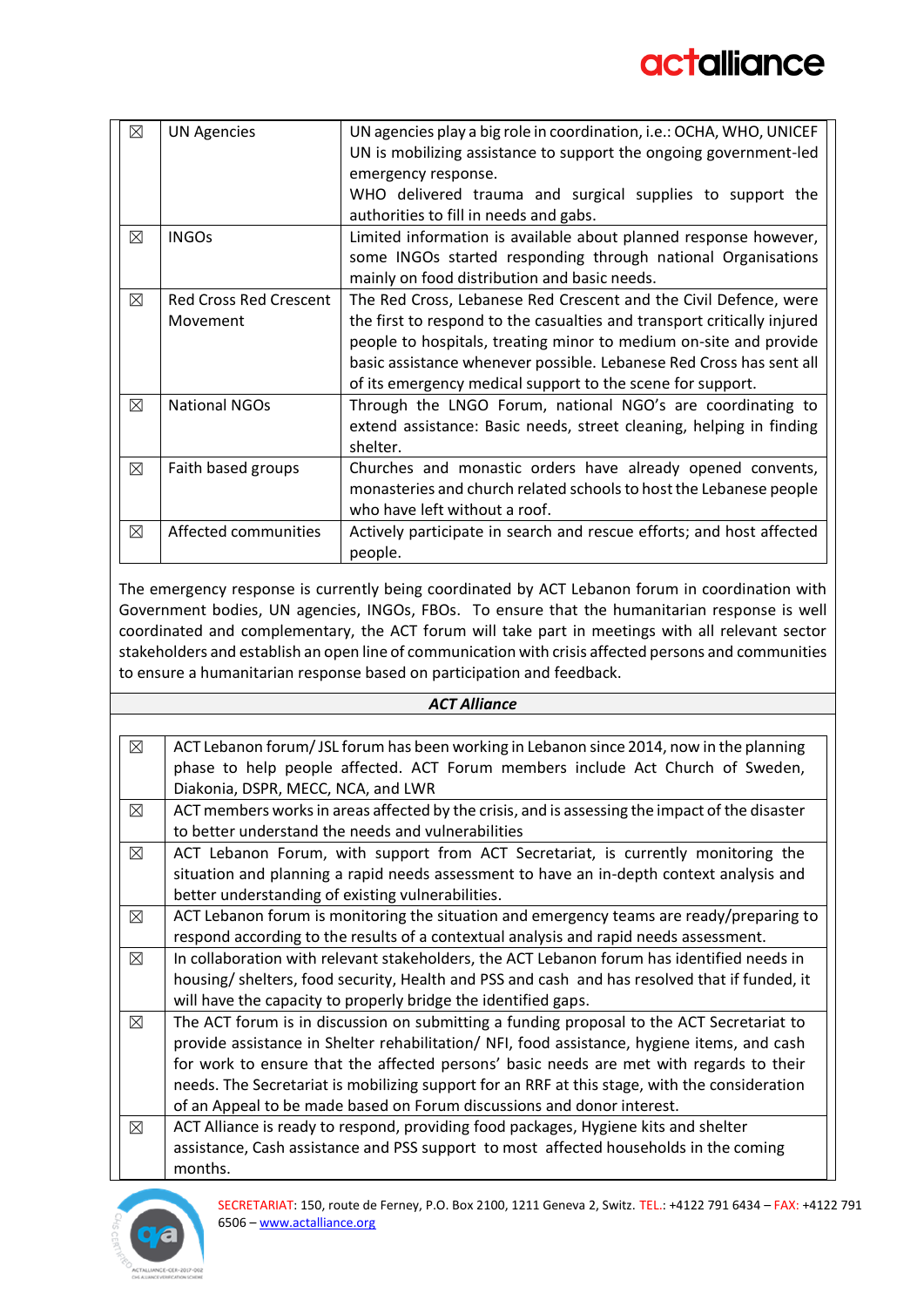| ⊠           | <b>UN Agencies</b>            | UN agencies play a big role in coordination, i.e.: OCHA, WHO, UNICEF    |
|-------------|-------------------------------|-------------------------------------------------------------------------|
|             |                               | UN is mobilizing assistance to support the ongoing government-led       |
|             |                               | emergency response.                                                     |
|             |                               | WHO delivered trauma and surgical supplies to support the               |
|             |                               |                                                                         |
|             |                               | authorities to fill in needs and gabs.                                  |
| ⊠           | <b>INGOs</b>                  | Limited information is available about planned response however,        |
|             |                               | some INGOs started responding through national Organisations            |
|             |                               | mainly on food distribution and basic needs.                            |
| $\boxtimes$ | <b>Red Cross Red Crescent</b> | The Red Cross, Lebanese Red Crescent and the Civil Defence, were        |
|             | Movement                      | the first to respond to the casualties and transport critically injured |
|             |                               | people to hospitals, treating minor to medium on-site and provide       |
|             |                               | basic assistance whenever possible. Lebanese Red Cross has sent all     |
|             |                               | of its emergency medical support to the scene for support.              |
| $\boxtimes$ | <b>National NGOs</b>          | Through the LNGO Forum, national NGO's are coordinating to              |
|             |                               | extend assistance: Basic needs, street cleaning, helping in finding     |
|             |                               | shelter.                                                                |
|             |                               |                                                                         |
| $\boxtimes$ | Faith based groups            | Churches and monastic orders have already opened convents,              |
|             |                               | monasteries and church related schools to host the Lebanese people      |
|             |                               | who have left without a roof.                                           |
| ⊠           | Affected communities          | Actively participate in search and rescue efforts; and host affected    |
|             |                               | people.                                                                 |

The emergency response is currently being coordinated by ACT Lebanon forum in coordination with Government bodies, UN agencies, INGOs, FBOs. To ensure that the humanitarian response is well coordinated and complementary, the ACT forum will take part in meetings with all relevant sector stakeholders and establish an open line of communication with crisis affected persons and communities to ensure a humanitarian response based on participation and feedback.

| <b>ACT Alliance</b> |                                                                                                |  |
|---------------------|------------------------------------------------------------------------------------------------|--|
|                     |                                                                                                |  |
| $\boxtimes$         | ACT Lebanon forum/JSL forum has been working in Lebanon since 2014, now in the planning        |  |
|                     | phase to help people affected. ACT Forum members include Act Church of Sweden,                 |  |
|                     | Diakonia, DSPR, MECC, NCA, and LWR                                                             |  |
| $\boxtimes$         | ACT members works in areas affected by the crisis, and is assessing the impact of the disaster |  |
|                     | to better understand the needs and vulnerabilities                                             |  |
| $\boxtimes$         | ACT Lebanon Forum, with support from ACT Secretariat, is currently monitoring the              |  |
|                     | situation and planning a rapid needs assessment to have an in-depth context analysis and       |  |
|                     | better understanding of existing vulnerabilities.                                              |  |
| ⊠                   | ACT Lebanon forum is monitoring the situation and emergency teams are ready/preparing to       |  |
|                     | respond according to the results of a contextual analysis and rapid needs assessment.          |  |
| $\boxtimes$         | In collaboration with relevant stakeholders, the ACT Lebanon forum has identified needs in     |  |
|                     | housing/shelters, food security, Health and PSS and cash and has resolved that if funded, it   |  |
|                     | will have the capacity to properly bridge the identified gaps.                                 |  |
| $\boxtimes$         | The ACT forum is in discussion on submitting a funding proposal to the ACT Secretariat to      |  |
|                     | provide assistance in Shelter rehabilitation/ NFI, food assistance, hygiene items, and cash    |  |
|                     | for work to ensure that the affected persons' basic needs are met with regards to their        |  |
|                     | needs. The Secretariat is mobilizing support for an RRF at this stage, with the consideration  |  |
|                     | of an Appeal to be made based on Forum discussions and donor interest.                         |  |
| ⊠                   | ACT Alliance is ready to respond, providing food packages, Hygiene kits and shelter            |  |
|                     | assistance, Cash assistance and PSS support to most affected households in the coming          |  |
|                     | months.                                                                                        |  |